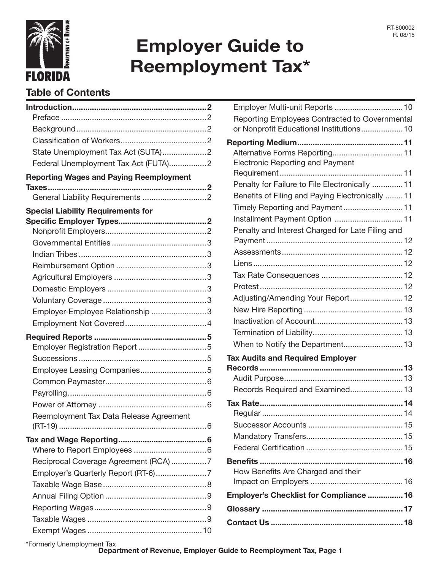

# Employer Guide to Reemployment Tax\*

# Table of Contents

| State Unemployment Tax Act (SUTA)2             |  |
|------------------------------------------------|--|
| Federal Unemployment Tax Act (FUTA)2           |  |
| <b>Reporting Wages and Paying Reemployment</b> |  |
|                                                |  |
|                                                |  |
| <b>Special Liability Requirements for</b>      |  |
|                                                |  |
|                                                |  |
|                                                |  |
|                                                |  |
|                                                |  |
|                                                |  |
|                                                |  |
|                                                |  |
| Employer-Employee Relationship 3               |  |
|                                                |  |
|                                                |  |
|                                                |  |
|                                                |  |
|                                                |  |
|                                                |  |
|                                                |  |
|                                                |  |
| Reemployment Tax Data Release Agreement        |  |
|                                                |  |
|                                                |  |
|                                                |  |
| Reciprocal Coverage Agreement (RCA) 7          |  |
| Employer's Quarterly Report (RT-6)7            |  |
|                                                |  |
|                                                |  |
|                                                |  |
|                                                |  |
|                                                |  |
|                                                |  |

| Reporting Employees Contracted to Governmental<br>or Nonprofit Educational Institutions 10 |
|--------------------------------------------------------------------------------------------|
|                                                                                            |
| Alternative Forms Reporting 11                                                             |
| <b>Electronic Reporting and Payment</b>                                                    |
|                                                                                            |
| Penalty for Failure to File Electronically  11                                             |
| Benefits of Filing and Paying Electronically  11                                           |
|                                                                                            |
| Installment Payment Option  11                                                             |
| Penalty and Interest Charged for Late Filing and                                           |
|                                                                                            |
|                                                                                            |
|                                                                                            |
|                                                                                            |
|                                                                                            |
| Adjusting/Amending Your Report 12                                                          |
|                                                                                            |
|                                                                                            |
|                                                                                            |
|                                                                                            |
| <b>Tax Audits and Required Employer</b>                                                    |
|                                                                                            |
| Records Required and Examined 13                                                           |
|                                                                                            |
|                                                                                            |
|                                                                                            |
|                                                                                            |
|                                                                                            |
|                                                                                            |
| How Benefits Are Charged and their                                                         |
|                                                                                            |
| Employer's Checklist for Compliance  16                                                    |
|                                                                                            |
|                                                                                            |

\*Formerly Unemployment Tax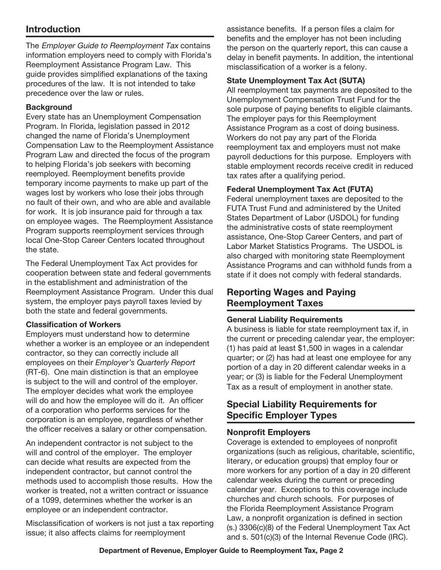# Introduction

The Employer Guide to Reemployment Tax contains information employers need to comply with Florida's Reemployment Assistance Program Law. This guide provides simplified explanations of the taxing procedures of the law. It is not intended to take precedence over the law or rules.

#### **Background**

Every state has an Unemployment Compensation Program. In Florida, legislation passed in 2012 changed the name of Florida's Unemployment Compensation Law to the Reemployment Assistance Program Law and directed the focus of the program to helping Florida's job seekers with becoming reemployed. Reemployment benefits provide temporary income payments to make up part of the wages lost by workers who lose their jobs through no fault of their own, and who are able and available for work. It is job insurance paid for through a tax on employee wages. The Reemployment Assistance Program supports reemployment services through local One-Stop Career Centers located throughout the state.

The Federal Unemployment Tax Act provides for cooperation between state and federal governments in the establishment and administration of the Reemployment Assistance Program. Under this dual system, the employer pays payroll taxes levied by both the state and federal governments.

#### Classification of Workers

Employers must understand how to determine whether a worker is an employee or an independent contractor, so they can correctly include all employees on their *Employer's Quarterly Report* (RT-6). One main distinction is that an employee is subject to the will and control of the employer. The employer decides what work the employee will do and how the employee will do it. An officer of a corporation who performs services for the corporation is an employee, regardless of whether the officer receives a salary or other compensation.

An independent contractor is not subject to the will and control of the employer. The employer can decide what results are expected from the independent contractor, but cannot control the methods used to accomplish those results. How the worker is treated, not a written contract or issuance of a 1099, determines whether the worker is an employee or an independent contractor.

Misclassification of workers is not just a tax reporting issue; it also affects claims for reemployment

assistance benefits. If a person files a claim for benefits and the employer has not been including the person on the quarterly report, this can cause a delay in benefit payments. In addition, the intentional misclassification of a worker is a felony.

#### State Unemployment Tax Act (SUTA)

All reemployment tax payments are deposited to the Unemployment Compensation Trust Fund for the sole purpose of paying benefits to eligible claimants. The employer pays for this Reemployment Assistance Program as a cost of doing business. Workers do not pay any part of the Florida reemployment tax and employers must not make payroll deductions for this purpose. Employers with stable employment records receive credit in reduced tax rates after a qualifying period.

#### Federal Unemployment Tax Act (FUTA)

Federal unemployment taxes are deposited to the FUTA Trust Fund and administered by the United States Department of Labor (USDOL) for funding the administrative costs of state reemployment assistance, One-Stop Career Centers, and part of Labor Market Statistics Programs. The USDOL is also charged with monitoring state Reemployment Assistance Programs and can withhold funds from a state if it does not comply with federal standards.

# Reporting Wages and Paying Reemployment Taxes

#### General Liability Requirements

A business is liable for state reemployment tax if, in the current or preceding calendar year, the employer: (1) has paid at least \$1,500 in wages in a calendar quarter; or (2) has had at least one employee for any portion of a day in 20 different calendar weeks in a year; or (3) is liable for the Federal Unemployment Tax as a result of employment in another state.

# Special Liability Requirements for Specific Employer Types

## Nonprofit Employers

Coverage is extended to employees of nonprofit organizations (such as religious, charitable, scientific, literary, or education groups) that employ four or more workers for any portion of a day in 20 different calendar weeks during the current or preceding calendar year. Exceptions to this coverage include churches and church schools. For purposes of the Florida Reemployment Assistance Program Law, a nonprofit organization is defined in section (s.) 3306(c)(8) of the Federal Unemployment Tax Act and s. 501(c)(3) of the Internal Revenue Code (IRC).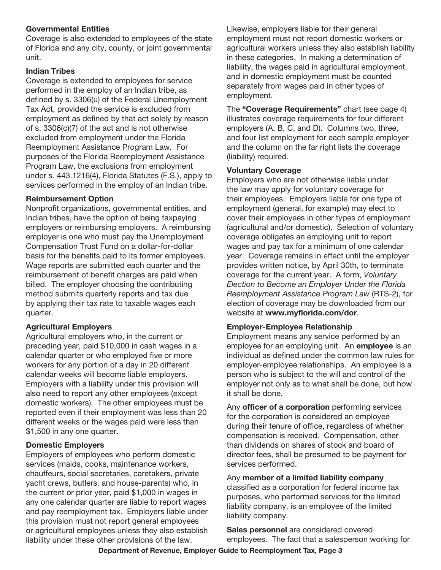#### Governmental Entities

Coverage is also extended to employees of the state of Florida and any city, county, or joint governmental unit.

#### Indian Tribes

Coverage is extended to employees for service performed in the employ of an Indian tribe, as defined by s. 3306(u) of the Federal Unemployment Tax Act, provided the service is excluded from employment as defined by that act solely by reason of s. 3306(c)(7) of the act and is not otherwise excluded from employment under the Florida Reemployment Assistance Program Law. For purposes of the Florida Reemployment Assistance Program Law, the exclusions from employment under s. 443.1216(4), Florida Statutes (F.S.), apply to services performed in the employ of an Indian tribe.

#### Reimbursement Option

Nonprofit organizations, governmental entities, and Indian tribes, have the option of being taxpaying employers or reimbursing employers. A reimbursing employer is one who must pay the Unemployment Compensation Trust Fund on a dollar-for-dollar basis for the benefits paid to its former employees. Wage reports are submitted each quarter and the reimbursement of benefit charges are paid when billed. The employer choosing the contributing method submits quarterly reports and tax due by applying their tax rate to taxable wages each quarter.

#### Agricultural Employers

Agricultural employers who, in the current or preceding year, paid \$10,000 in cash wages in a calendar quarter or who employed five or more workers for any portion of a day in 20 different calendar weeks will become liable employers. Employers with a liability under this provision will also need to report any other employees (except domestic workers). The other employees must be reported even if their employment was less than 20 different weeks or the wages paid were less than \$1,500 in any one quarter.

#### Domestic Employers

Employers of employees who perform domestic services (maids, cooks, maintenance workers, chauffeurs, social secretaries, caretakers, private yacht crews, butlers, and house-parents) who, in the current or prior year, paid \$1,000 in wages in any one calendar quarter are liable to report wages and pay reemployment tax. Employers liable under this provision must not report general employees or agricultural employees unless they also establish liability under these other provisions of the law.

Likewise, employers liable for their general employment must not report domestic workers or agricultural workers unless they also establish liability in these categories. In making a determination of liability, the wages paid in agricultural employment and in domestic employment must be counted separately from wages paid in other types of employment.

The "Coverage Requirements" chart (see page 4) illustrates coverage requirements for four different employers (A, B, C, and D). Columns two, three, and four list employment for each sample employer and the column on the far right lists the coverage (liability) required.

#### Voluntary Coverage

Employers who are not otherwise liable under the law may apply for voluntary coverage for their employees. Employers liable for one type of employment (general, for example) may elect to cover their employees in other types of employment (agricultural and/or domestic). Selection of voluntary coverage obligates an employing unit to report wages and pay tax for a minimum of one calendar year. Coverage remains in effect until the employer provides written notice, by April 30th, to terminate coverage for the current year. A form, *Voluntary Election to Become an Employer Under the Florida Reemployment Assistance Program Law* (RTS-2), for election of coverage may be downloaded from our website at www.myflorida.com/dor.

#### Employer-Employee Relationship

Employment means any service performed by an employee for an employing unit. An **employee** is an individual as defined under the common law rules for employer-employee relationships. An employee is a person who is subject to the will and control of the employer not only as to what shall be done, but how it shall be done.

Any **officer of a corporation** performing services for the corporation is considered an employee during their tenure of office, regardless of whether compensation is received. Compensation, other than dividends on shares of stock and board of director fees, shall be presumed to be payment for services performed.

Any member of a limited liability company classified as a corporation for federal income tax purposes, who performed services for the limited liability company, is an employee of the limited liability company.

Sales personnel are considered covered employees. The fact that a salesperson working for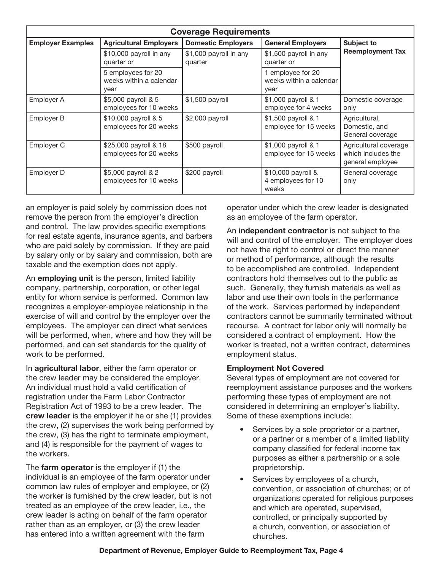| <b>Coverage Requirements</b> |                                                       |                                   |                                                      |                                                                 |  |  |  |  |
|------------------------------|-------------------------------------------------------|-----------------------------------|------------------------------------------------------|-----------------------------------------------------------------|--|--|--|--|
| <b>Employer Examples</b>     | <b>Agricultural Employers</b>                         | <b>Domestic Employers</b>         | <b>General Employers</b>                             | Subject to<br><b>Reemployment Tax</b>                           |  |  |  |  |
|                              | \$10,000 payroll in any<br>quarter or                 | \$1,000 payroll in any<br>quarter | \$1,500 payroll in any<br>quarter or                 |                                                                 |  |  |  |  |
|                              | 5 employees for 20<br>weeks within a calendar<br>year |                                   | 1 employee for 20<br>weeks within a calendar<br>year |                                                                 |  |  |  |  |
| Employer A                   | \$5,000 payroll & 5<br>employees for 10 weeks         | \$1,500 payroll                   | \$1,000 payroll & 1<br>employee for 4 weeks          | Domestic coverage<br>only                                       |  |  |  |  |
| Employer B                   | \$10,000 payroll & 5<br>employees for 20 weeks        | \$2,000 payroll                   | \$1,500 payroll & 1<br>employee for 15 weeks         | Agricultural,<br>Domestic, and<br>General coverage              |  |  |  |  |
| Employer C                   | \$25,000 payroll & 18<br>employees for 20 weeks       | \$500 payroll                     | \$1,000 payroll & 1<br>employee for 15 weeks         | Agricultural coverage<br>which includes the<br>general employee |  |  |  |  |
| Employer D                   | \$5,000 payroll & 2<br>employees for 10 weeks         | \$200 payroll                     | \$10,000 payroll &<br>4 employees for 10<br>weeks    | General coverage<br>only                                        |  |  |  |  |

an employer is paid solely by commission does not remove the person from the employer's direction and control. The law provides specific exemptions for real estate agents, insurance agents, and barbers who are paid solely by commission. If they are paid by salary only or by salary and commission, both are taxable and the exemption does not apply.

An **employing unit** is the person, limited liability company, partnership, corporation, or other legal entity for whom service is performed. Common law recognizes a employer-employee relationship in the exercise of will and control by the employer over the employees. The employer can direct what services will be performed, when, where and how they will be performed, and can set standards for the quality of work to be performed.

In agricultural labor, either the farm operator or the crew leader may be considered the employer. An individual must hold a valid certification of registration under the Farm Labor Contractor Registration Act of 1993 to be a crew leader. The crew leader is the employer if he or she (1) provides the crew, (2) supervises the work being performed by the crew, (3) has the right to terminate employment, and (4) is responsible for the payment of wages to the workers.

The **farm operator** is the employer if (1) the individual is an employee of the farm operator under common law rules of employer and employee, or (2) the worker is furnished by the crew leader, but is not treated as an employee of the crew leader, i.e., the crew leader is acting on behalf of the farm operator rather than as an employer, or (3) the crew leader has entered into a written agreement with the farm

operator under which the crew leader is designated as an employee of the farm operator.

An independent contractor is not subject to the will and control of the employer. The employer does not have the right to control or direct the manner or method of performance, although the results to be accomplished are controlled. Independent contractors hold themselves out to the public as such. Generally, they furnish materials as well as labor and use their own tools in the performance of the work. Services performed by independent contractors cannot be summarily terminated without recourse. A contract for labor only will normally be considered a contract of employment. How the worker is treated, not a written contract, determines employment status.

#### Employment Not Covered

Several types of employment are not covered for reemployment assistance purposes and the workers performing these types of employment are not considered in determining an employer's liability. Some of these exemptions include:

- Services by a sole proprietor or a partner, or a partner or a member of a limited liability company classified for federal income tax purposes as either a partnership or a sole proprietorship.
- Services by employees of a church, convention, or association of churches; or of organizations operated for religious purposes and which are operated, supervised, controlled, or principally supported by a church, convention, or association of churches.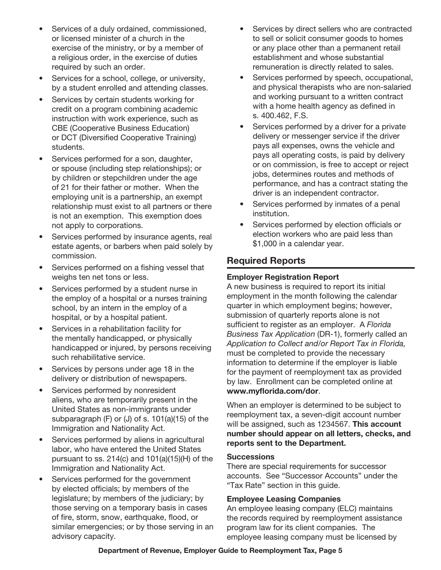- Services of a duly ordained, commissioned, or licensed minister of a church in the exercise of the ministry, or by a member of a religious order, in the exercise of duties required by such an order.
- Services for a school, college, or university, by a student enrolled and attending classes.
- Services by certain students working for credit on a program combining academic instruction with work experience, such as CBE (Cooperative Business Education) or DCT (Diversified Cooperative Training) students.
- Services performed for a son, daughter, or spouse (including step relationships); or by children or stepchildren under the age of 21 for their father or mother. When the employing unit is a partnership, an exempt relationship must exist to all partners or there is not an exemption. This exemption does not apply to corporations.
- Services performed by insurance agents, real estate agents, or barbers when paid solely by commission.
- Services performed on a fishing vessel that weighs ten net tons or less.
- Services performed by a student nurse in the employ of a hospital or a nurses training school, by an intern in the employ of a hospital, or by a hospital patient.
- Services in a rehabilitation facility for the mentally handicapped, or physically handicapped or injured, by persons receiving such rehabilitative service.
- Services by persons under age 18 in the delivery or distribution of newspapers.
- Services performed by nonresident aliens, who are temporarily present in the United States as non-immigrants under subparagraph (F) or (J) of s. 101(a)(15) of the Immigration and Nationality Act.
- Services performed by aliens in agricultural labor, who have entered the United States pursuant to ss. 214(c) and 101(a)(15)(H) of the Immigration and Nationality Act.
- Services performed for the government by elected officials; by members of the legislature; by members of the judiciary; by those serving on a temporary basis in cases of fire, storm, snow, earthquake, flood, or similar emergencies; or by those serving in an advisory capacity.
- Services by direct sellers who are contracted to sell or solicit consumer goods to homes or any place other than a permanent retail establishment and whose substantial remuneration is directly related to sales.
- Services performed by speech, occupational, and physical therapists who are non-salaried and working pursuant to a written contract with a home health agency as defined in s. 400.462, F.S.
- Services performed by a driver for a private delivery or messenger service if the driver pays all expenses, owns the vehicle and pays all operating costs, is paid by delivery or on commission, is free to accept or reject jobs, determines routes and methods of performance, and has a contract stating the driver is an independent contractor.
- Services performed by inmates of a penal institution.
- Services performed by election officials or election workers who are paid less than \$1,000 in a calendar year.

# Required Reports

## Employer Registration Report

A new business is required to report its initial employment in the month following the calendar quarter in which employment begins; however, submission of quarterly reports alone is not sufficient to register as an employer. A *Florida Business Tax Application* (DR-1), formerly called an *Application to Collect and/or Report Tax in Florida,* must be completed to provide the necessary information to determine if the employer is liable for the payment of reemployment tax as provided by law. Enrollment can be completed online at www.myflorida.com/dor.

When an employer is determined to be subject to reemployment tax, a seven-digit account number will be assigned, such as 1234567. This account number should appear on all letters, checks, and reports sent to the Department.

#### **Successions**

There are special requirements for successor accounts. See "Successor Accounts" under the "Tax Rate" section in this guide.

#### Employee Leasing Companies

An employee leasing company (ELC) maintains the records required by reemployment assistance program law for its client companies. The employee leasing company must be licensed by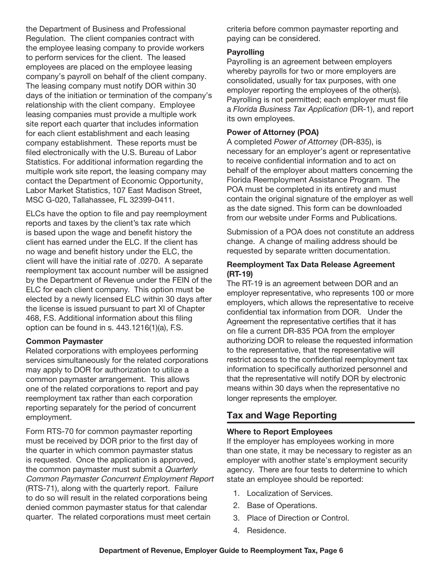the Department of Business and Professional Regulation. The client companies contract with the employee leasing company to provide workers to perform services for the client. The leased employees are placed on the employee leasing company's payroll on behalf of the client company. The leasing company must notify DOR within 30 days of the initiation or termination of the company's relationship with the client company. Employee leasing companies must provide a multiple work site report each quarter that includes information for each client establishment and each leasing company establishment. These reports must be filed electronically with the U.S. Bureau of Labor Statistics. For additional information regarding the multiple work site report, the leasing company may contact the Department of Economic Opportunity, Labor Market Statistics, 107 East Madison Street, MSC G-020, Tallahassee, FL 32399-0411.

ELCs have the option to file and pay reemployment reports and taxes by the client's tax rate which is based upon the wage and benefit history the client has earned under the ELC. If the client has no wage and benefit history under the ELC, the client will have the initial rate of .0270. A separate reemployment tax account number will be assigned by the Department of Revenue under the FEIN of the ELC for each client company. This option must be elected by a newly licensed ELC within 30 days after the license is issued pursuant to part XI of Chapter 468, F.S. Additional information about this filing option can be found in s. 443.1216(1)(a), F.S.

#### Common Paymaster

Related corporations with employees performing services simultaneously for the related corporations may apply to DOR for authorization to utilize a common paymaster arrangement. This allows one of the related corporations to report and pay reemployment tax rather than each corporation reporting separately for the period of concurrent employment.

Form RTS-70 for common paymaster reporting must be received by DOR prior to the first day of the quarter in which common paymaster status is requested. Once the application is approved, the common paymaster must submit a Quarterly Common Paymaster Concurrent Employment Report (RTS-71), along with the quarterly report. Failure to do so will result in the related corporations being denied common paymaster status for that calendar quarter. The related corporations must meet certain

criteria before common paymaster reporting and paying can be considered.

#### **Payrolling**

Payrolling is an agreement between employers whereby payrolls for two or more employers are consolidated, usually for tax purposes, with one employer reporting the employees of the other(s). Payrolling is not permitted; each employer must file a *Florida Business Tax Application* (DR-1), and report its own employees.

#### Power of Attorney (POA)

A completed *Power of Attorney* (DR-835), is necessary for an employer's agent or representative to receive confidential information and to act on behalf of the employer about matters concerning the Florida Reemployment Assistance Program. The POA must be completed in its entirety and must contain the original signature of the employer as well as the date signed. This form can be downloaded from our website under Forms and Publications.

Submission of a POA does not constitute an address change. A change of mailing address should be requested by separate written documentation.

#### Reemployment Tax Data Release Agreement (RT-19)

The RT-19 is an agreement between DOR and an employer representative, who represents 100 or more employers, which allows the representative to receive confidential tax information from DOR. Under the Agreement the representative certifies that it has on file a current DR-835 POA from the employer authorizing DOR to release the requested information to the representative, that the representative will restrict access to the confidential reemployment tax information to specifically authorized personnel and that the representative will notify DOR by electronic means within 30 days when the representative no longer represents the employer.

# Tax and Wage Reporting

#### Where to Report Employees

If the employer has employees working in more than one state, it may be necessary to register as an employer with another state's employment security agency. There are four tests to determine to which state an employee should be reported:

- 1. Localization of Services.
- 2. Base of Operations.
- 3. Place of Direction or Control.
- 4. Residence.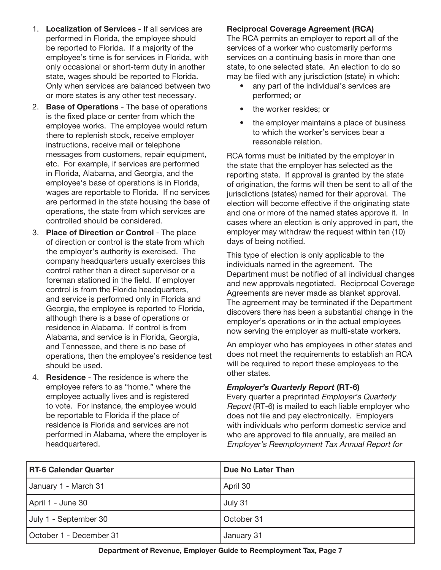- 1. Localization of Services If all services are performed in Florida, the employee should be reported to Florida. If a majority of the employee's time is for services in Florida, with only occasional or short-term duty in another state, wages should be reported to Florida. Only when services are balanced between two or more states is any other test necessary.
- 2. Base of Operations The base of operations is the fixed place or center from which the employee works. The employee would return there to replenish stock, receive employer instructions, receive mail or telephone messages from customers, repair equipment, etc. For example, if services are performed in Florida, Alabama, and Georgia, and the employee's base of operations is in Florida, wages are reportable to Florida. If no services are performed in the state housing the base of operations, the state from which services are controlled should be considered.
- 3. Place of Direction or Control The place of direction or control is the state from which the employer's authority is exercised. The company headquarters usually exercises this control rather than a direct supervisor or a foreman stationed in the field. If employer control is from the Florida headquarters, and service is performed only in Florida and Georgia, the employee is reported to Florida, although there is a base of operations or residence in Alabama. If control is from Alabama, and service is in Florida, Georgia, and Tennessee, and there is no base of operations, then the employee's residence test should be used.
- 4. **Residence** The residence is where the employee refers to as "home," where the employee actually lives and is registered to vote. For instance, the employee would be reportable to Florida if the place of residence is Florida and services are not performed in Alabama, where the employer is headquartered.

#### Reciprocal Coverage Agreement (RCA)

The RCA permits an employer to report all of the services of a worker who customarily performs services on a continuing basis in more than one state, to one selected state. An election to do so may be filed with any jurisdiction (state) in which:

- any part of the individual's services are performed; or
- the worker resides; or
- the employer maintains a place of business to which the worker's services bear a reasonable relation.

RCA forms must be initiated by the employer in the state that the employer has selected as the reporting state. If approval is granted by the state of origination, the forms will then be sent to all of the jurisdictions (states) named for their approval. The election will become effective if the originating state and one or more of the named states approve it. In cases where an election is only approved in part, the employer may withdraw the request within ten (10) days of being notified.

This type of election is only applicable to the individuals named in the agreement. The Department must be notified of all individual changes and new approvals negotiated. Reciprocal Coverage Agreements are never made as blanket approval. The agreement may be terminated if the Department discovers there has been a substantial change in the employer's operations or in the actual employees now serving the employer as multi-state workers.

An employer who has employees in other states and does not meet the requirements to establish an RCA will be required to report these employees to the other states.

#### *Employer's Quarterly Report* (RT-6)

Every quarter a preprinted Employer's Quarterly Report (RT-6) is mailed to each liable employer who does not file and pay electronically. Employers with individuals who perform domestic service and who are approved to file annually, are mailed an Employer's Reemployment Tax Annual Report for

| <b>RT-6 Calendar Quarter</b> | Due No Later Than |
|------------------------------|-------------------|
| January 1 - March 31         | April 30          |
| April 1 - June 30            | July 31           |
| July 1 - September 30        | October 31        |
| October 1 - December 31      | January 31        |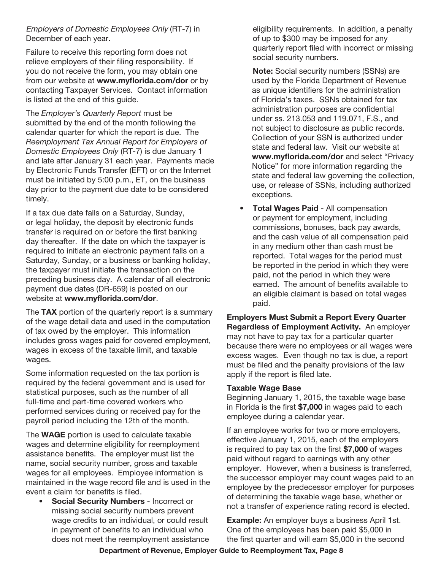Employers of Domestic Employees Only (RT-7) in December of each year.

Failure to receive this reporting form does not relieve employers of their filing responsibility. If you do not receive the form, you may obtain one from our website at www.myflorida.com/dor or by contacting Taxpayer Services. Contact information is listed at the end of this guide.

The *Employer's Quarterly Report* must be submitted by the end of the month following the calendar quarter for which the report is due. The *Reemployment Tax Annual Report for Employers of Domestic Employees Only* (RT-7) is due January 1 and late after January 31 each year. Payments made by Electronic Funds Transfer (EFT) or on the Internet must be initiated by 5:00 p.m., ET, on the business day prior to the payment due date to be considered timely.

If a tax due date falls on a Saturday, Sunday, or legal holiday, the deposit by electronic funds transfer is required on or before the first banking day thereafter. If the date on which the taxpayer is required to initiate an electronic payment falls on a Saturday, Sunday, or a business or banking holiday, the taxpayer must initiate the transaction on the preceding business day. A calendar of all electronic payment due dates (DR-659) is posted on our website at www.myflorida.com/dor.

The TAX portion of the quarterly report is a summary of the wage detail data and used in the computation of tax owed by the employer. This information includes gross wages paid for covered employment, wages in excess of the taxable limit, and taxable wages.

Some information requested on the tax portion is required by the federal government and is used for statistical purposes, such as the number of all full-time and part-time covered workers who performed services during or received pay for the payroll period including the 12th of the month.

The **WAGE** portion is used to calculate taxable wages and determine eligibility for reemployment assistance benefits. The employer must list the name, social security number, gross and taxable wages for all employees. Employee information is maintained in the wage record file and is used in the event a claim for benefits is filed.

Social Security Numbers - Incorrect or missing social security numbers prevent wage credits to an individual, or could result in payment of benefits to an individual who does not meet the reemployment assistance eligibility requirements. In addition, a penalty of up to \$300 may be imposed for any quarterly report filed with incorrect or missing social security numbers.

Note: Social security numbers (SSNs) are used by the Florida Department of Revenue as unique identifiers for the administration of Florida's taxes. SSNs obtained for tax administration purposes are confidential under ss. 213.053 and 119.071, F.S., and not subject to disclosure as public records. Collection of your SSN is authorized under state and federal law. Visit our website at www.myflorida.com/dor and select "Privacy Notice" for more information regarding the state and federal law governing the collection, use, or release of SSNs, including authorized exceptions.

**Total Wages Paid - All compensation** or payment for employment, including commissions, bonuses, back pay awards, and the cash value of all compensation paid in any medium other than cash must be reported. Total wages for the period must be reported in the period in which they were paid, not the period in which they were earned. The amount of benefits available to an eligible claimant is based on total wages paid.

Employers Must Submit a Report Every Quarter Regardless of Employment Activity. An employer may not have to pay tax for a particular quarter because there were no employees or all wages were excess wages. Even though no tax is due, a report must be filed and the penalty provisions of the law apply if the report is filed late.

#### Taxable Wage Base

Beginning January 1, 2015, the taxable wage base in Florida is the first \$7,000 in wages paid to each employee during a calendar year.

If an employee works for two or more employers, effective January 1, 2015, each of the employers is required to pay tax on the first \$7,000 of wages paid without regard to earnings with any other employer. However, when a business is transferred, the successor employer may count wages paid to an employee by the predecessor employer for purposes of determining the taxable wage base, whether or not a transfer of experience rating record is elected.

Example: An employer buys a business April 1st. One of the employees has been paid \$5,000 in the first quarter and will earn \$5,000 in the second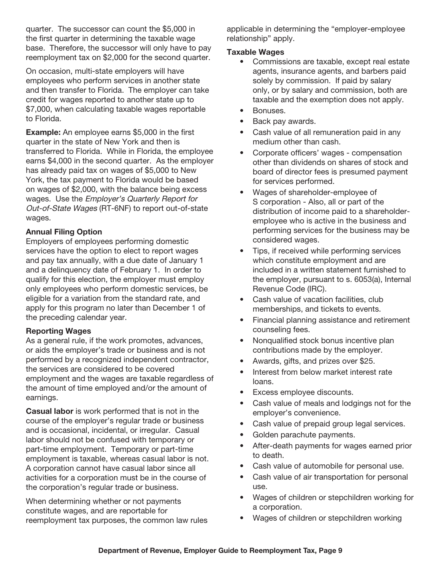quarter. The successor can count the \$5,000 in the first quarter in determining the taxable wage base. Therefore, the successor will only have to pay reemployment tax on \$2,000 for the second quarter.

On occasion, multi-state employers will have employees who perform services in another state and then transfer to Florida. The employer can take credit for wages reported to another state up to \$7,000, when calculating taxable wages reportable to Florida.

**Example:** An employee earns \$5,000 in the first quarter in the state of New York and then is transferred to Florida. While in Florida, the employee earns \$4,000 in the second quarter. As the employer has already paid tax on wages of \$5,000 to New York, the tax payment to Florida would be based on wages of \$2,000, with the balance being excess wages. Use the Employer's Quarterly Report for Out-of-State Wages (RT-6NF) to report out-of-state wages.

#### Annual Filing Option

Employers of employees performing domestic services have the option to elect to report wages and pay tax annually, with a due date of January 1 and a delinquency date of February 1. In order to qualify for this election, the employer must employ only employees who perform domestic services, be eligible for a variation from the standard rate, and apply for this program no later than December 1 of the preceding calendar year.

#### Reporting Wages

As a general rule, if the work promotes, advances, or aids the employer's trade or business and is not performed by a recognized independent contractor, the services are considered to be covered employment and the wages are taxable regardless of the amount of time employed and/or the amount of earnings.

Casual labor is work performed that is not in the course of the employer's regular trade or business and is occasional, incidental, or irregular. Casual labor should not be confused with temporary or part-time employment. Temporary or part-time employment is taxable, whereas casual labor is not. A corporation cannot have casual labor since all activities for a corporation must be in the course of the corporation's regular trade or business.

When determining whether or not payments constitute wages, and are reportable for reemployment tax purposes, the common law rules applicable in determining the "employer-employee relationship" apply.

#### Taxable Wages

- Commissions are taxable, except real estate agents, insurance agents, and barbers paid solely by commission. If paid by salary only, or by salary and commission, both are taxable and the exemption does not apply.
- Bonuses.
- Back pay awards.
- Cash value of all remuneration paid in any medium other than cash.
- Corporate officers' wages compensation other than dividends on shares of stock and board of director fees is presumed payment for services performed.
- Wages of shareholder-employee of S corporation - Also, all or part of the distribution of income paid to a shareholderemployee who is active in the business and performing services for the business may be considered wages.
- Tips, if received while performing services which constitute employment and are included in a written statement furnished to the employer, pursuant to s. 6053(a), Internal Revenue Code (IRC).
- Cash value of vacation facilities, club memberships, and tickets to events.
- Financial planning assistance and retirement counseling fees.
- Nonqualified stock bonus incentive plan contributions made by the employer.
- Awards, gifts, and prizes over \$25.
- Interest from below market interest rate loans.
- Excess employee discounts.
- Cash value of meals and lodgings not for the employer's convenience.
- Cash value of prepaid group legal services.
- Golden parachute payments.
- After-death payments for wages earned prior to death.
- Cash value of automobile for personal use.
- Cash value of air transportation for personal use.
- Wages of children or stepchildren working for a corporation.
- Wages of children or stepchildren working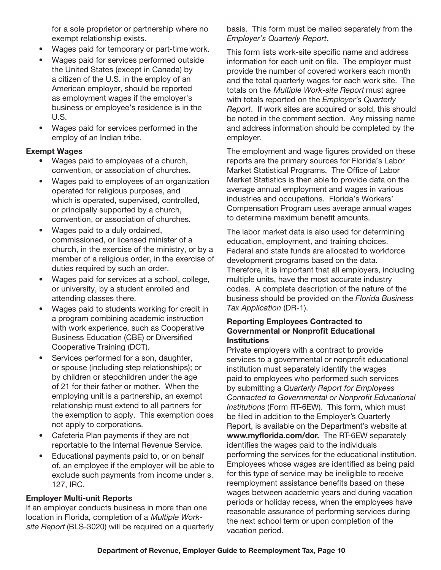for a sole proprietor or partnership where no exempt relationship exists.

- Wages paid for temporary or part-time work.
- Wages paid for services performed outside the United States (except in Canada) by a citizen of the U.S. in the employ of an American employer, should be reported as employment wages if the employer's business or employee's residence is in the U.S.
- Wages paid for services performed in the employ of an Indian tribe.

#### Exempt Wages

- Wages paid to employees of a church, convention, or association of churches.
- Wages paid to employees of an organization operated for religious purposes, and which is operated, supervised, controlled, or principally supported by a church, convention, or association of churches.
- Wages paid to a duly ordained, commissioned, or licensed minister of a church, in the exercise of the ministry, or by a member of a religious order, in the exercise of duties required by such an order.
- Wages paid for services at a school, college, or university, by a student enrolled and attending classes there.
- Wages paid to students working for credit in a program combining academic instruction with work experience, such as Cooperative Business Education (CBE) or Diversified Cooperative Training (DCT).
- Services performed for a son, daughter, or spouse (including step relationships); or by children or stepchildren under the age of 21 for their father or mother. When the employing unit is a partnership, an exempt relationship must extend to all partners for the exemption to apply. This exemption does not apply to corporations.
- Cafeteria Plan payments if they are not reportable to the Internal Revenue Service.
- Educational payments paid to, or on behalf of, an employee if the employer will be able to exclude such payments from income under s. 127, IRC.

#### Employer Multi-unit Reports

If an employer conducts business in more than one location in Florida, completion of a Multiple Worksite Report (BLS-3020) will be required on a quarterly basis. This form must be mailed separately from the *Employer's Quarterly Report*.

This form lists work-site specific name and address information for each unit on file. The employer must provide the number of covered workers each month and the total quarterly wages for each work site. The totals on the Multiple Work-site Report must agree with totals reported on the *Employer's Quarterly Report*. If work sites are acquired or sold, this should be noted in the comment section. Any missing name and address information should be completed by the employer.

The employment and wage figures provided on these reports are the primary sources for Florida's Labor Market Statistical Programs. The Office of Labor Market Statistics is then able to provide data on the average annual employment and wages in various industries and occupations. Florida's Workers' Compensation Program uses average annual wages to determine maximum benefit amounts.

The labor market data is also used for determining education, employment, and training choices. Federal and state funds are allocated to workforce development programs based on the data. Therefore, it is important that all employers, including multiple units, have the most accurate industry codes. A complete description of the nature of the business should be provided on the *Florida Business Tax Application* (DR-1).

#### Reporting Employees Contracted to Governmental or Nonprofit Educational **Institutions**

Private employers with a contract to provide services to a governmental or nonprofit educational institution must separately identify the wages paid to employees who performed such services by submitting a *Quarterly Report for Employees Contracted to Governmental or Nonprofit Educational Institutions* (Form RT-6EW). This form, which must be filed in addition to the Employer's Quarterly Report, is available on the Department's website at www.myflorida.com/dor. The RT-6EW separately identifies the wages paid to the individuals performing the services for the educational institution. Employees whose wages are identified as being paid for this type of service may be ineligible to receive reemployment assistance benefits based on these wages between academic years and during vacation periods or holiday recess, when the employees have reasonable assurance of performing services during the next school term or upon completion of the vacation period.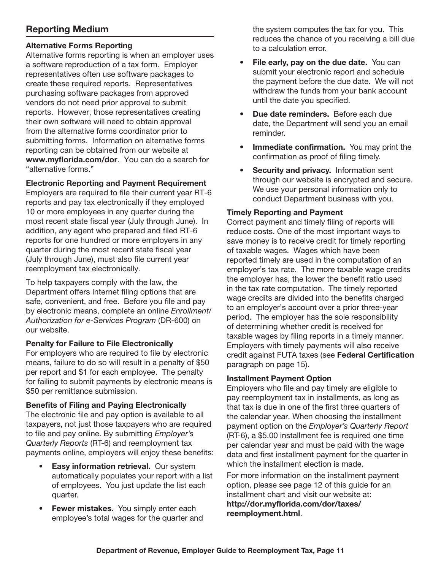# Reporting Medium

#### Alternative Forms Reporting

Alternative forms reporting is when an employer uses a software reproduction of a tax form. Employer representatives often use software packages to create these required reports. Representatives purchasing software packages from approved vendors do not need prior approval to submit reports. However, those representatives creating their own software will need to obtain approval from the alternative forms coordinator prior to submitting forms. Information on alternative forms reporting can be obtained from our website at www.myflorida.com/dor. You can do a search for "alternative forms."

#### Electronic Reporting and Payment Requirement

Employers are required to file their current year RT-6 reports and pay tax electronically if they employed 10 or more employees in any quarter during the most recent state fiscal year (July through June). In addition, any agent who prepared and filed RT-6 reports for one hundred or more employers in any quarter during the most recent state fiscal year (July through June), must also file current year reemployment tax electronically.

To help taxpayers comply with the law, the Department offers Internet filing options that are safe, convenient, and free. Before you file and pay by electronic means, complete an online *Enrollment/ Authorization for e-Services Program* (DR-600) on our website.

#### Penalty for Failure to File Electronically

For employers who are required to file by electronic means, failure to do so will result in a penalty of \$50 per report and \$1 for each employee. The penalty for failing to submit payments by electronic means is \$50 per remittance submission.

#### Benefits of Filing and Paying Electronically

The electronic file and pay option is available to all taxpayers, not just those taxpayers who are required to file and pay online. By submitting *Employer's Quarterly Reports* (RT-6) and reemployment tax payments online, employers will enjoy these benefits:

- Easy information retrieval. Our system automatically populates your report with a list of employees. You just update the list each quarter.
- Fewer mistakes. You simply enter each employee's total wages for the quarter and

the system computes the tax for you. This reduces the chance of you receiving a bill due to a calculation error.

- File early, pay on the due date. You can submit your electronic report and schedule the payment before the due date. We will not withdraw the funds from your bank account until the date you specified.
- Due date reminders. Before each due date, the Department will send you an email reminder.
- Immediate confirmation. You may print the confirmation as proof of filing timely.
- Security and privacy. Information sent through our website is encrypted and secure. We use your personal information only to conduct Department business with you.

#### Timely Reporting and Payment

Correct payment and timely filing of reports will reduce costs. One of the most important ways to save money is to receive credit for timely reporting of taxable wages. Wages which have been reported timely are used in the computation of an employer's tax rate. The more taxable wage credits the employer has, the lower the benefit ratio used in the tax rate computation. The timely reported wage credits are divided into the benefits charged to an employer's account over a prior three-year period. The employer has the sole responsibility of determining whether credit is received for taxable wages by filing reports in a timely manner. Employers with timely payments will also receive credit against FUTA taxes (see Federal Certification paragraph on page 15).

#### Installment Payment Option

Employers who file and pay timely are eligible to pay reemployment tax in installments, as long as that tax is due in one of the first three quarters of the calendar year. When choosing the installment payment option on the *Employer's Quarterly Report*  (RT-6), a \$5.00 installment fee is required one time per calendar year and must be paid with the wage data and first installment payment for the quarter in which the installment election is made.

For more information on the installment payment option, please see page 12 of this guide for an installment chart and visit our website at: http://dor.myflorida.com/dor/taxes/ reemployment.html.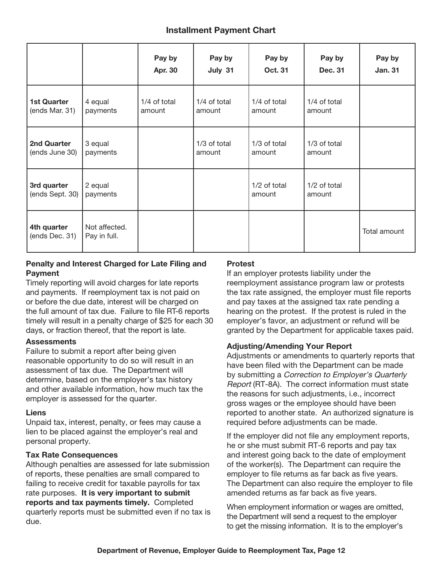## Installment Payment Chart

|                                      |                               | Pay by<br>Apr. 30      | Pay by<br>July 31      | Pay by<br><b>Oct. 31</b> | Pay by<br><b>Dec. 31</b> | Pay by<br><b>Jan. 31</b> |
|--------------------------------------|-------------------------------|------------------------|------------------------|--------------------------|--------------------------|--------------------------|
| <b>1st Quarter</b><br>(ends Mar. 31) | 4 equal<br>payments           | 1/4 of total<br>amount | 1/4 of total<br>amount | 1/4 of total<br>amount   | 1/4 of total<br>amount   |                          |
| 2nd Quarter<br>(ends June 30)        | 3 equal<br>payments           |                        | 1/3 of total<br>amount | 1/3 of total<br>amount   | 1/3 of total<br>amount   |                          |
| 3rd quarter<br>(ends Sept. 30)       | 2 equal<br>payments           |                        |                        | 1/2 of total<br>amount   | 1/2 of total<br>amount   |                          |
| 4th quarter<br>(ends Dec. 31)        | Not affected.<br>Pay in full. |                        |                        |                          |                          | Total amount             |

#### Penalty and Interest Charged for Late Filing and Payment

Timely reporting will avoid charges for late reports and payments. If reemployment tax is not paid on or before the due date, interest will be charged on the full amount of tax due. Failure to file RT-6 reports timely will result in a penalty charge of \$25 for each 30 days, or fraction thereof, that the report is late.

#### **Assessments**

Failure to submit a report after being given reasonable opportunity to do so will result in an assessment of tax due. The Department will determine, based on the employer's tax history and other available information, how much tax the employer is assessed for the quarter.

#### Liens

Unpaid tax, interest, penalty, or fees may cause a lien to be placed against the employer's real and personal property.

#### Tax Rate Consequences

Although penalties are assessed for late submission of reports, these penalties are small compared to failing to receive credit for taxable payrolls for tax rate purposes. It is very important to submit reports and tax payments timely. Completed quarterly reports must be submitted even if no tax is due.

#### Protest

If an employer protests liability under the reemployment assistance program law or protests the tax rate assigned, the employer must file reports and pay taxes at the assigned tax rate pending a hearing on the protest. If the protest is ruled in the employer's favor, an adjustment or refund will be granted by the Department for applicable taxes paid.

#### Adjusting/Amending Your Report

Adjustments or amendments to quarterly reports that have been filed with the Department can be made by submitting a Correction to Employer's Quarterly Report (RT-8A). The correct information must state the reasons for such adjustments, i.e., incorrect gross wages or the employee should have been reported to another state. An authorized signature is required before adjustments can be made.

If the employer did not file any employment reports, he or she must submit RT-6 reports and pay tax and interest going back to the date of employment of the worker(s). The Department can require the employer to file returns as far back as five years. The Department can also require the employer to file amended returns as far back as five years.

When employment information or wages are omitted, the Department will send a request to the employer to get the missing information. It is to the employer's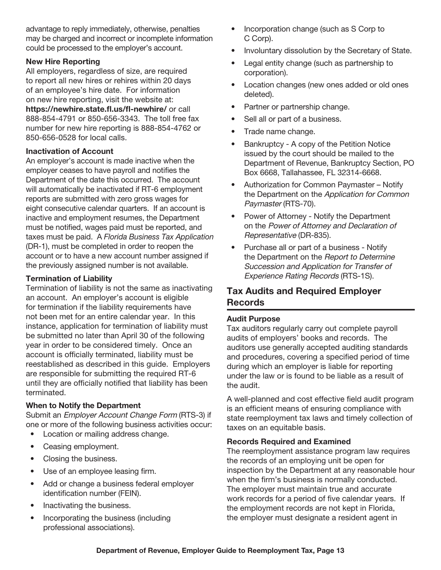advantage to reply immediately, otherwise, penalties may be charged and incorrect or incomplete information could be processed to the employer's account.

#### New Hire Reporting

All employers, regardless of size, are required to report all new hires or rehires within 20 days of an employee's hire date. For information on new hire reporting, visit the website at: https://newhire.state.fl.us/fl-newhire/ or call 888-854-4791 or 850-656-3343. The toll free fax number for new hire reporting is 888-854-4762 or 850-656-0528 for local calls.

#### Inactivation of Account

An employer's account is made inactive when the employer ceases to have payroll and notifies the Department of the date this occurred. The account will automatically be inactivated if RT-6 employment reports are submitted with zero gross wages for eight consecutive calendar quarters. If an account is inactive and employment resumes, the Department must be notified, wages paid must be reported, and taxes must be paid. A *Florida Business Tax Application* (DR-1), must be completed in order to reopen the account or to have a new account number assigned if the previously assigned number is not available.

#### Termination of Liability

Termination of liability is not the same as inactivating an account. An employer's account is eligible for termination if the liability requirements have not been met for an entire calendar year. In this instance, application for termination of liability must be submitted no later than April 30 of the following year in order to be considered timely. Once an account is officially terminated, liability must be reestablished as described in this guide. Employers are responsible for submitting the required RT-6 until they are officially notified that liability has been terminated.

#### When to Notify the Department

Submit an Employer Account Change Form (RTS-3) if one or more of the following business activities occur:

- Location or mailing address change.
- Ceasing employment.
- Closing the business.
- Use of an employee leasing firm.
- Add or change a business federal employer identification number (FEIN).
- Inactivating the business.
- Incorporating the business (including professional associations).
- Incorporation change (such as S Corp to C Corp).
- Involuntary dissolution by the Secretary of State.
- Legal entity change (such as partnership to corporation).
- Location changes (new ones added or old ones deleted).
- Partner or partnership change.
- Sell all or part of a business.
- Trade name change.
- Bankruptcy A copy of the Petition Notice issued by the court should be mailed to the Department of Revenue, Bankruptcy Section, PO Box 6668, Tallahassee, FL 32314-6668.
- Authorization for Common Paymaster Notify the Department on the Application for Common Paymaster (RTS-70).
- Power of Attorney Notify the Department on the Power of Attorney and Declaration of Representative (DR-835).
- Purchase all or part of a business Notify the Department on the Report to Determine Succession and Application for Transfer of Experience Rating Records (RTS-1S).

# Tax Audits and Required Employer Records

#### Audit Purpose

Tax auditors regularly carry out complete payroll audits of employers' books and records. The auditors use generally accepted auditing standards and procedures, covering a specified period of time during which an employer is liable for reporting under the law or is found to be liable as a result of the audit.

A well-planned and cost effective field audit program is an efficient means of ensuring compliance with state reemployment tax laws and timely collection of taxes on an equitable basis.

#### Records Required and Examined

The reemployment assistance program law requires the records of an employing unit be open for inspection by the Department at any reasonable hour when the firm's business is normally conducted. The employer must maintain true and accurate work records for a period of five calendar years. If the employment records are not kept in Florida, the employer must designate a resident agent in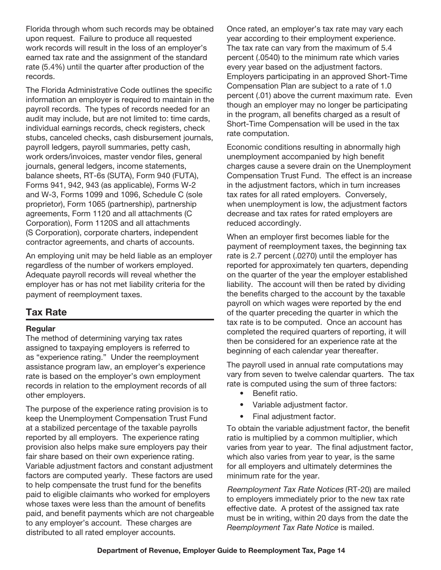Florida through whom such records may be obtained upon request. Failure to produce all requested work records will result in the loss of an employer's earned tax rate and the assignment of the standard rate (5.4%) until the quarter after production of the records.

The Florida Administrative Code outlines the specific information an employer is required to maintain in the payroll records. The types of records needed for an audit may include, but are not limited to: time cards, individual earnings records, check registers, check stubs, canceled checks, cash disbursement journals, payroll ledgers, payroll summaries, petty cash, work orders/invoices, master vendor files, general journals, general ledgers, income statements, balance sheets, RT-6s (SUTA), Form 940 (FUTA), Forms 941, 942, 943 (as applicable), Forms W-2 and W-3, Forms 1099 and 1096, Schedule C (sole proprietor), Form 1065 (partnership), partnership agreements, Form 1120 and all attachments (C Corporation), Form 1120S and all attachments (S Corporation), corporate charters, independent contractor agreements, and charts of accounts.

An employing unit may be held liable as an employer regardless of the number of workers employed. Adequate payroll records will reveal whether the employer has or has not met liability criteria for the payment of reemployment taxes.

## Tax Rate

#### Regular

The method of determining varying tax rates assigned to taxpaying employers is referred to as "experience rating." Under the reemployment assistance program law, an employer's experience rate is based on the employer's own employment records in relation to the employment records of all other employers.

The purpose of the experience rating provision is to keep the Unemployment Compensation Trust Fund at a stabilized percentage of the taxable payrolls reported by all employers. The experience rating provision also helps make sure employers pay their fair share based on their own experience rating. Variable adjustment factors and constant adjustment factors are computed yearly. These factors are used to help compensate the trust fund for the benefits paid to eligible claimants who worked for employers whose taxes were less than the amount of benefits paid, and benefit payments which are not chargeable to any employer's account. These charges are distributed to all rated employer accounts.

Once rated, an employer's tax rate may vary each year according to their employment experience. The tax rate can vary from the maximum of 5.4 percent (.0540) to the minimum rate which varies every year based on the adjustment factors. Employers participating in an approved Short-Time Compensation Plan are subject to a rate of 1.0 percent (.01) above the current maximum rate. Even though an employer may no longer be participating in the program, all benefits charged as a result of Short-Time Compensation will be used in the tax rate computation.

Economic conditions resulting in abnormally high unemployment accompanied by high benefit charges cause a severe drain on the Unemployment Compensation Trust Fund. The effect is an increase in the adjustment factors, which in turn increases tax rates for all rated employers. Conversely, when unemployment is low, the adjustment factors decrease and tax rates for rated employers are reduced accordingly.

When an employer first becomes liable for the payment of reemployment taxes, the beginning tax rate is 2.7 percent (.0270) until the employer has reported for approximately ten quarters, depending on the quarter of the year the employer established liability. The account will then be rated by dividing the benefits charged to the account by the taxable payroll on which wages were reported by the end of the quarter preceding the quarter in which the tax rate is to be computed. Once an account has completed the required quarters of reporting, it will then be considered for an experience rate at the beginning of each calendar year thereafter.

The payroll used in annual rate computations may vary from seven to twelve calendar quarters. The tax rate is computed using the sum of three factors:

- Benefit ratio.
- Variable adjustment factor.
- Final adjustment factor.

To obtain the variable adjustment factor, the benefit ratio is multiplied by a common multiplier, which varies from year to year. The final adjustment factor, which also varies from year to year, is the same for all employers and ultimately determines the minimum rate for the year.

Reemployment Tax Rate Notices (RT-20) are mailed to employers immediately prior to the new tax rate effective date. A protest of the assigned tax rate must be in writing, within 20 days from the date the *Reemployment Tax Rate Notice* is mailed.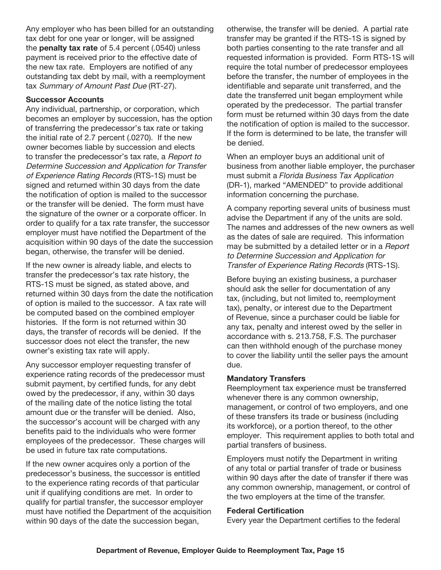Any employer who has been billed for an outstanding tax debt for one year or longer, will be assigned the penalty tax rate of 5.4 percent (.0540) unless payment is received prior to the effective date of the new tax rate. Employers are notified of any outstanding tax debt by mail, with a reemployment tax Summary of Amount Past Due (RT-27).

#### Successor Accounts

Any individual, partnership, or corporation, which becomes an employer by succession, has the option of transferring the predecessor's tax rate or taking the initial rate of 2.7 percent (.0270). If the new owner becomes liable by succession and elects to transfer the predecessor's tax rate, a Report to Determine Succession and Application for Transfer of Experience Rating Records (RTS-1S) must be signed and returned within 30 days from the date the notification of option is mailed to the successor or the transfer will be denied. The form must have the signature of the owner or a corporate officer. In order to qualify for a tax rate transfer, the successor employer must have notified the Department of the acquisition within 90 days of the date the succession began, otherwise, the transfer will be denied.

If the new owner is already liable, and elects to transfer the predecessor's tax rate history, the RTS-1S must be signed, as stated above, and returned within 30 days from the date the notification of option is mailed to the successor. A tax rate will be computed based on the combined employer histories. If the form is not returned within 30 days, the transfer of records will be denied. If the successor does not elect the transfer, the new owner's existing tax rate will apply.

Any successor employer requesting transfer of experience rating records of the predecessor must submit payment, by certified funds, for any debt owed by the predecessor, if any, within 30 days of the mailing date of the notice listing the total amount due or the transfer will be denied. Also, the successor's account will be charged with any benefits paid to the individuals who were former employees of the predecessor. These charges will be used in future tax rate computations.

If the new owner acquires only a portion of the predecessor's business, the successor is entitled to the experience rating records of that particular unit if qualifying conditions are met. In order to qualify for partial transfer, the successor employer must have notified the Department of the acquisition within 90 days of the date the succession began,

otherwise, the transfer will be denied. A partial rate transfer may be granted if the RTS-1S is signed by both parties consenting to the rate transfer and all requested information is provided. Form RTS-1S will require the total number of predecessor employees before the transfer, the number of employees in the identifiable and separate unit transferred, and the date the transferred unit began employment while operated by the predecessor. The partial transfer form must be returned within 30 days from the date the notification of option is mailed to the successor. If the form is determined to be late, the transfer will be denied.

When an employer buys an additional unit of business from another liable employer, the purchaser must submit a *Florida Business Tax Application* (DR-1), marked "AMENDED" to provide additional information concerning the purchase.

A company reporting several units of business must advise the Department if any of the units are sold. The names and addresses of the new owners as well as the dates of sale are required. This information may be submitted by a detailed letter or in a Report to Determine Succession and Application for Transfer of Experience Rating Records (RTS-1S).

Before buying an existing business, a purchaser should ask the seller for documentation of any tax, (including, but not limited to, reemployment tax), penalty, or interest due to the Department of Revenue, since a purchaser could be liable for any tax, penalty and interest owed by the seller in accordance with s. 213.758, F.S. The purchaser can then withhold enough of the purchase money to cover the liability until the seller pays the amount due.

#### Mandatory Transfers

Reemployment tax experience must be transferred whenever there is any common ownership, management, or control of two employers, and one of these transfers its trade or business (including its workforce), or a portion thereof, to the other employer. This requirement applies to both total and partial transfers of business.

Employers must notify the Department in writing of any total or partial transfer of trade or business within 90 days after the date of transfer if there was any common ownership, management, or control of the two employers at the time of the transfer.

#### Federal Certification

Every year the Department certifies to the federal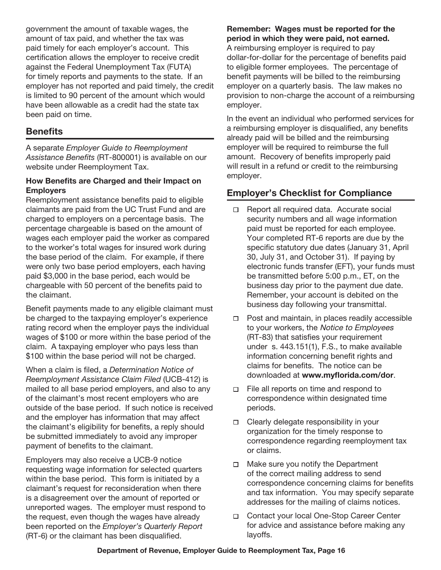government the amount of taxable wages, the amount of tax paid, and whether the tax was paid timely for each employer's account. This certification allows the employer to receive credit against the Federal Unemployment Tax (FUTA) for timely reports and payments to the state. If an employer has not reported and paid timely, the credit is limited to 90 percent of the amount which would have been allowable as a credit had the state tax been paid on time.

# **Benefits**

A separate *Employer Guide to Reemployment Assistance Benefits* (RT-800001) is available on our website under Reemployment Tax.

#### How Benefits are Charged and their Impact on **Employers**

Reemployment assistance benefits paid to eligible claimants are paid from the UC Trust Fund and are charged to employers on a percentage basis. The percentage chargeable is based on the amount of wages each employer paid the worker as compared to the worker's total wages for insured work during the base period of the claim. For example, if there were only two base period employers, each having paid \$3,000 in the base period, each would be chargeable with 50 percent of the benefits paid to the claimant.

Benefit payments made to any eligible claimant must be charged to the taxpaying employer's experience rating record when the employer pays the individual wages of \$100 or more within the base period of the claim. A taxpaying employer who pays less than \$100 within the base period will not be charged.

When a claim is filed, a *Determination Notice of Reemployment Assistance Claim Filed* (UCB-412) is mailed to all base period employers, and also to any of the claimant's most recent employers who are outside of the base period. If such notice is received and the employer has information that may affect the claimant's eligibility for benefits, a reply should be submitted immediately to avoid any improper payment of benefits to the claimant.

Employers may also receive a UCB-9 notice requesting wage information for selected quarters within the base period. This form is initiated by a claimant's request for reconsideration when there is a disagreement over the amount of reported or unreported wages. The employer must respond to the request, even though the wages have already been reported on the *Employer's Quarterly Report* (RT-6) or the claimant has been disqualified.

# Remember: Wages must be reported for the period in which they were paid, not earned.

A reimbursing employer is required to pay dollar-for-dollar for the percentage of benefits paid to eligible former employees. The percentage of benefit payments will be billed to the reimbursing employer on a quarterly basis. The law makes no provision to non-charge the account of a reimbursing employer.

In the event an individual who performed services for a reimbursing employer is disqualified, any benefits already paid will be billed and the reimbursing employer will be required to reimburse the full amount. Recovery of benefits improperly paid will result in a refund or credit to the reimbursing employer.

# Employer's Checklist for Compliance

- □ Report all required data. Accurate social security numbers and all wage information paid must be reported for each employee. Your completed RT-6 reports are due by the specific statutory due dates (January 31, April 30, July 31, and October 31). If paying by electronic funds transfer (EFT), your funds must be transmitted before 5:00 p.m., ET, on the business day prior to the payment due date. Remember, your account is debited on the business day following your transmittal.
- Post and maintain, in places readily accessible  $\Box$ to your workers, the Notice to Employees (RT-83) that satisfies your requirement under s. 443.151(1), F.S., to make available information concerning benefit rights and claims for benefits. The notice can be downloaded at www.myflorida.com/dor.
- File all reports on time and respond to  $\Box$ correspondence within designated time periods.
- □ Clearly delegate responsibility in your organization for the timely response to correspondence regarding reemployment tax or claims.
- Make sure you notify the Department  $\Box$ of the correct mailing address to send correspondence concerning claims for benefits and tax information. You may specify separate addresses for the mailing of claims notices.
- □ Contact your local One-Stop Career Center for advice and assistance before making any layoffs.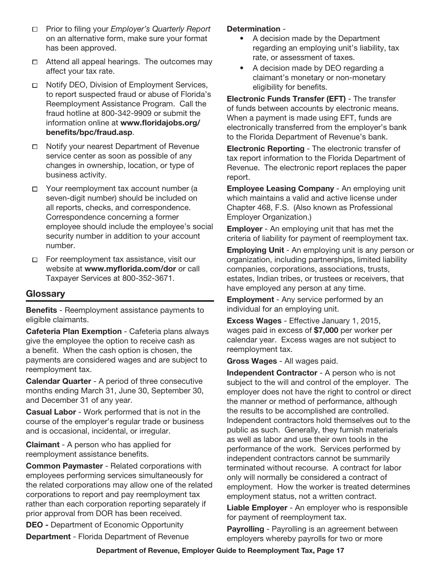- Prior to filing your *Employer's Quarterly Report*  $\Box$ on an alternative form, make sure your format has been approved.
- $\Box$  Attend all appeal hearings. The outcomes may affect your tax rate.
- Notify DEO, Division of Employment Services,  $\Box$ to report suspected fraud or abuse of Florida's Reemployment Assistance Program. Call the fraud hotline at 800-342-9909 or submit the information online at www.floridajobs.org/ benefits/bpc/fraud.asp.
- Notify your nearest Department of Revenue  $\Box$ service center as soon as possible of any changes in ownership, location, or type of business activity.
- □ Your reemployment tax account number (a seven-digit number) should be included on all reports, checks, and correspondence. Correspondence concerning a former employee should include the employee's social security number in addition to your account number.
- $\Box$ For reemployment tax assistance, visit our website at www.myflorida.com/dor or call Taxpayer Services at 800-352-3671.

## **Glossarv**

Benefits - Reemployment assistance payments to eligible claimants.

Cafeteria Plan Exemption - Cafeteria plans always give the employee the option to receive cash as a benefit. When the cash option is chosen, the payments are considered wages and are subject to reemployment tax.

Calendar Quarter - A period of three consecutive months ending March 31, June 30, September 30, and December 31 of any year.

Casual Labor - Work performed that is not in the course of the employer's regular trade or business and is occasional, incidental, or irregular.

Claimant - A person who has applied for reemployment assistance benefits.

Common Paymaster - Related corporations with employees performing services simultaneously for the related corporations may allow one of the related corporations to report and pay reemployment tax rather than each corporation reporting separately if prior approval from DOR has been received.

DEO - Department of Economic Opportunity Department - Florida Department of Revenue

#### Determination -

- A decision made by the Department regarding an employing unit's liability, tax rate, or assessment of taxes.
- A decision made by DEO regarding a claimant's monetary or non-monetary eligibility for benefits.

Electronic Funds Transfer (EFT) - The transfer of funds between accounts by electronic means. When a payment is made using EFT, funds are electronically transferred from the employer's bank to the Florida Department of Revenue's bank.

Electronic Reporting - The electronic transfer of tax report information to the Florida Department of Revenue. The electronic report replaces the paper report.

Employee Leasing Company - An employing unit which maintains a valid and active license under Chapter 468, F.S. (Also known as Professional Employer Organization.)

Employer - An employing unit that has met the criteria of liability for payment of reemployment tax.

Employing Unit - An employing unit is any person or organization, including partnerships, limited liability companies, corporations, associations, trusts, estates, Indian tribes, or trustees or receivers, that have employed any person at any time.

Employment - Any service performed by an individual for an employing unit.

Excess Wages - Effective January 1, 2015, wages paid in excess of \$7,000 per worker per calendar year. Excess wages are not subject to reemployment tax.

Gross Wages - All wages paid.

Independent Contractor - A person who is not subject to the will and control of the employer. The employer does not have the right to control or direct the manner or method of performance, although the results to be accomplished are controlled. Independent contractors hold themselves out to the public as such. Generally, they furnish materials as well as labor and use their own tools in the performance of the work. Services performed by independent contractors cannot be summarily terminated without recourse. A contract for labor only will normally be considered a contract of employment. How the worker is treated determines employment status, not a written contract.

Liable Employer - An employer who is responsible for payment of reemployment tax.

Payrolling - Payrolling is an agreement between employers whereby payrolls for two or more